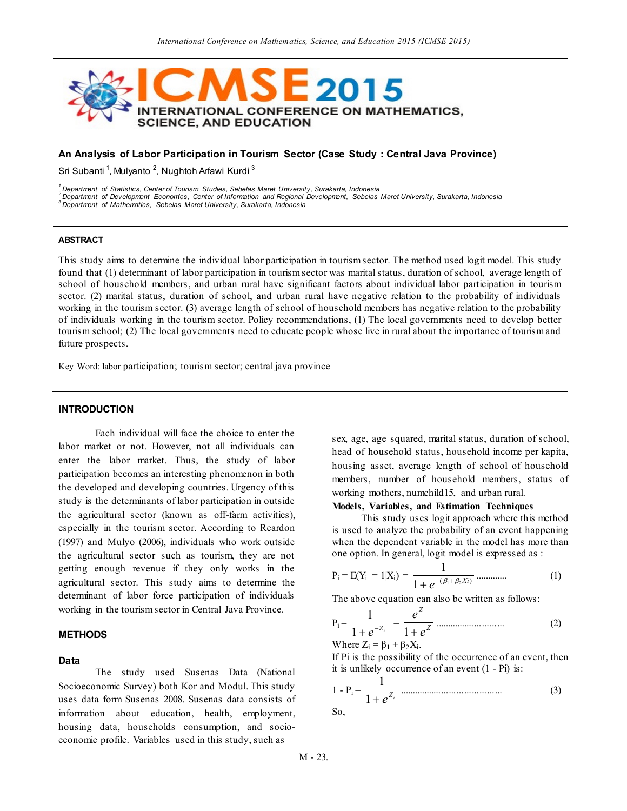

### **An Analysis of Labor Participation in Tourism Sector (Case Study : Central Java Province)**

Sri Subanti <sup>1</sup>, Mulyanto <sup>2</sup>, Nughtoh Arfawi Kurdi <sup>3</sup>

*1.Department of Statistics, Center of Tourism Studies, Sebelas Maret University, Surakarta, Indonesia*

*2.Department of Development Economics, Center of Information and Regional Development, Sebelas Maret University, Surakarta, Indonesia*

*3.Department of Mathematics, Sebelas Maret University, Surakarta, Indonesia*

#### **ABSTRACT**

This study aims to determine the individual labor participation in tourism sector. The method used logit model. This study found that (1) determinant of labor participation in tourism sector was marital status, duration of school, average length of school of household members, and urban rural have significant factors about individual labor participation in tourism sector. (2) marital status, duration of school, and urban rural have negative relation to the probability of individuals working in the tourism sector. (3) average length of school of household members has negative relation to the probability of individuals working in the tourism sector. Policy recommendations, (1) The local governments need to develop better tourism school; (2) The local governments need to educate people whose live in rural about the importance of tourism and future prospects.

Key Word: labor participation; tourism sector; central java province

### **INTRODUCTION**

Each individual will face the choice to enter the labor market or not. However, not all individuals can enter the labor market. Thus, the study of labor participation becomes an interesting phenomenon in both the developed and developing countries. Urgency of this study is the determinants of labor participation in outside the agricultural sector (known as off-farm activities), especially in the tourism sector. According to Reardon (1997) and Mulyo (2006), individuals who work outside the agricultural sector such as tourism, they are not getting enough revenue if they only works in the agricultural sector. This study aims to determine the determinant of labor force participation of individuals working in the tourism sector in Central Java Province.

#### **METHODS**

### **Data**

The study used Susenas Data (National Socioeconomic Survey) both Kor and Modul. This study uses data form Susenas 2008. Susenas data consists of information about education, health, employment, housing data, households consumption, and socioeconomic profile. Variables used in this study, such as

sex, age, age squared, marital status, duration of school, head of household status, household income per kapita, housing asset, average length of school of household members, number of household members, status of working mothers, numchild15, and urban rural.

### **Models, Variables, and Estimation Techniques**

This study uses logit approach where this method is used to analyze the probability of an event happening when the dependent variable in the model has more than one option. In general, logit model is expressed as :

$$
P_i = E(Y_i = 1 | X_i) = \frac{1}{1 + e^{-(\beta_1 + \beta_2 X i)}} \dots \dots \dots \dots \dots \tag{1}
$$

The above equation can also be written as follows:

$$
P_i = \frac{1}{1 + e^{-Z_i}} = \frac{e^Z}{1 + e^Z}
$$
 ....... (2)

Where  $Z_i = \beta_1 + \beta_2 X_i$ .

If Pi is the possibility of the occurrence of an event, then it is unlikely occurrence of an event (1 - Pi) is:

$$
1 - P_i = \frac{1}{1 + e^{Z_i}}
$$
 (3)

So,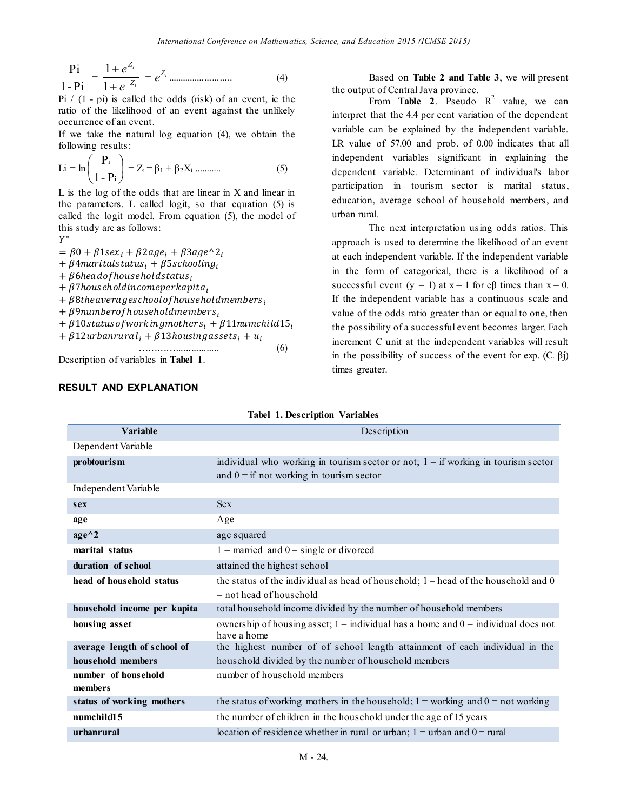$$
\frac{\text{Pi}}{1-\text{Pi}} = \frac{1+e^{Z_i}}{1+e^{-Z_i}} = e^{Z_i} \dots \dots \dots \dots \dots \dots \dots \tag{4}
$$

Pi  $/$  (1 - pi) is called the odds (risk) of an event, ie the ratio of the likelihood of an event against the unlikely occurrence of an event.

If we take the natural log equation (4), we obtain the following results:

$$
Li = \ln\left(\frac{P_i}{1 - P_i}\right) = Z_i = \beta_1 + \beta_2 X_i \dots \dots \dots \tag{5}
$$

L is the log of the odds that are linear in X and linear in the parameters. L called logit, so that equation (5) is called the logit model. From equation (5), the model of this study are as follows:

 $Y^*$ 

 $= \beta 0 + \beta 1$ sex<sub>i</sub> +  $\beta 2$ age<sub>i</sub> +  $\beta 3$ age^2<sub>i</sub>

 $+ \beta$ 4 maritalstatus<sub>i</sub> +  $\beta$ 5 schooling<sub>i</sub>

 $+ \beta$ 6headofhouseholdstatus;

 $+ \beta$ 7 hous ehold income per kapita,

 $+ \beta$ 8the averages chool of house hold members,

 $+$   $\beta$ 9numberofhouseholdmembers,

+  $\beta$ 10 status of working mothers<sub>i</sub> +  $\beta$ 11 numchild 15<sub>i</sub>

$$
+\beta12urban rural_i+\beta13 housing assets_i+u_i
$$

…………................. (6) Description of variables in **Tabel 1**.

Based on **Table 2 and Table 3**, we will present the output of Central Java province.

From **Table 2**. Pseudo  $R^2$  value, we can interpret that the 4.4 per cent variation of the dependent variable can be explained by the independent variable. LR value of 57.00 and prob. of 0.00 indicates that all independent variables significant in explaining the dependent variable. Determinant of individual's labor participation in tourism sector is marital status, education, average school of household members, and urban rural.

The next interpretation using odds ratios. This approach is used to determine the likelihood of an event at each independent variable. If the independent variable in the form of categorical, there is a likelihood of a successful event (y = 1) at  $x = 1$  for e $\beta$  times than  $x = 0$ . If the independent variable has a continuous scale and value of the odds ratio greater than or equal to one, then the possibility of a successful event becomes larger. Each increment C unit at the independent variables will result in the possibility of success of the event for exp.  $(C, \beta)$ times greater.

| <b>Tabel 1. Description Variables</b> |                                                                                                                                   |  |  |  |
|---------------------------------------|-----------------------------------------------------------------------------------------------------------------------------------|--|--|--|
| Variable                              | Description                                                                                                                       |  |  |  |
| Dependent Variable                    |                                                                                                                                   |  |  |  |
| probtourism                           | individual who working in tourism sector or not; $1 =$ if working in tourism sector<br>and $0 =$ if not working in tourism sector |  |  |  |
| Independent Variable                  |                                                                                                                                   |  |  |  |
| sex                                   | <b>Sex</b>                                                                                                                        |  |  |  |
| age                                   | Age                                                                                                                               |  |  |  |
| $age^{\wedge}2$                       | age squared                                                                                                                       |  |  |  |
| marital status                        | $1 =$ married and $0 =$ single or divorced                                                                                        |  |  |  |
| duration of school                    | attained the highest school                                                                                                       |  |  |  |
| head of household status              | the status of the individual as head of household; $1 =$ head of the household and 0<br>$=$ not head of household                 |  |  |  |
| household income per kapita           | total household income divided by the number of household members                                                                 |  |  |  |
| housing asset                         | ownership of housing asset; $1 =$ individual has a home and $0 =$ individual does not<br>have a home                              |  |  |  |
| average length of school of           | the highest number of of school length attainment of each individual in the                                                       |  |  |  |
| household members                     | household divided by the number of household members                                                                              |  |  |  |
| number of household                   | number of household members                                                                                                       |  |  |  |
| members                               |                                                                                                                                   |  |  |  |
| status of working mothers             | the status of working mothers in the household; $1 =$ working and $0 =$ not working                                               |  |  |  |
| numchild15                            | the number of children in the household under the age of 15 years                                                                 |  |  |  |
| urbanrural                            | location of residence whether in rural or urban; $1 =$ urban and $0 =$ rural                                                      |  |  |  |

# **RESULT AND EXPLANATION**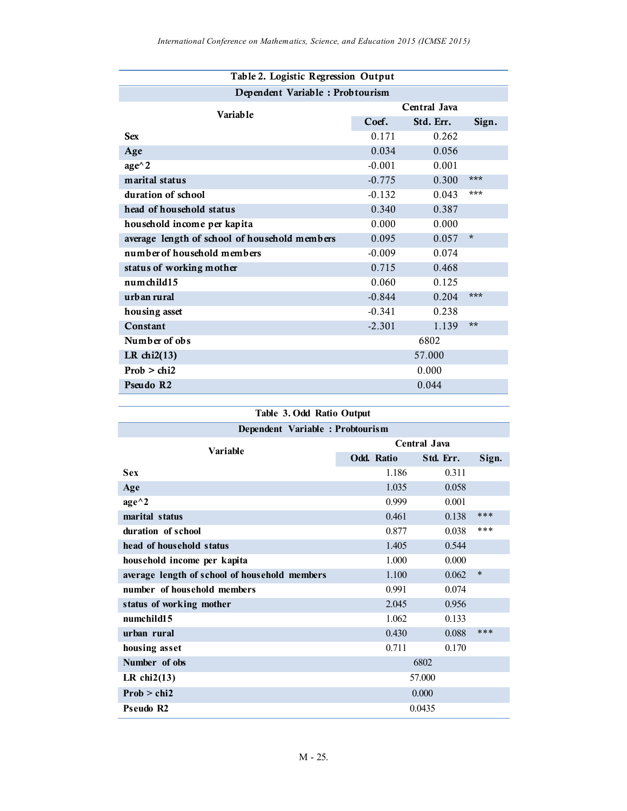| Table 2. Logistic Regression Output           |              |           |          |  |  |  |
|-----------------------------------------------|--------------|-----------|----------|--|--|--|
| Dependent Variable: Probtourism               |              |           |          |  |  |  |
| <b>Variable</b>                               | Central Java |           |          |  |  |  |
|                                               | Coef.        | Std. Err. | Sign.    |  |  |  |
| <b>Sex</b>                                    | 0.171        | 0.262     |          |  |  |  |
| Age                                           | 0.034        | 0.056     |          |  |  |  |
| $age^{\wedge} 2$                              | $-0.001$     | 0.001     |          |  |  |  |
| marital status                                | $-0.775$     | 0.300     | ***      |  |  |  |
| duration of school                            | $-0.132$     | 0.043     | ***      |  |  |  |
| head of household status                      | 0.340        | 0.387     |          |  |  |  |
| household income per kapita                   | 0.000        | 0.000     |          |  |  |  |
| average length of school of household members | 0.095        | 0.057     | $^\star$ |  |  |  |
| number of household members                   | $-0.009$     | 0.074     |          |  |  |  |
| status of working mother                      | 0.715        | 0.468     |          |  |  |  |
| numchild15                                    | 0.060        | 0.125     |          |  |  |  |
| urb an rural                                  | $-0.844$     | 0.204     | ***      |  |  |  |
| housing asset                                 | $-0.341$     | 0.238     |          |  |  |  |
| Constant                                      | $-2.301$     | 1.139     | $**$     |  |  |  |
| Number of obs                                 |              | 6802      |          |  |  |  |
| LR chi $2(13)$                                |              | 57.000    |          |  |  |  |
| Prob > chi2                                   |              | 0.000     |          |  |  |  |
| Pseudo R2                                     |              | 0.044     |          |  |  |  |

| Table 3. Odd Ratio Output                     |                   |           |        |  |  |  |
|-----------------------------------------------|-------------------|-----------|--------|--|--|--|
| Dependent Variable: Probtourism               |                   |           |        |  |  |  |
| Variable                                      | Central Java      |           |        |  |  |  |
|                                               | <b>Odd. Ratio</b> | Std. Err. | Sign.  |  |  |  |
| <b>Sex</b>                                    | 1.186             | 0.311     |        |  |  |  |
| Age                                           | 1.035             | 0.058     |        |  |  |  |
| $age^{\wedge}2$                               | 0.999             | 0.001     |        |  |  |  |
| marital status                                | 0.461             | 0.138     | $***$  |  |  |  |
| duration of school                            | 0.877             | 0.038     | ***    |  |  |  |
| head of household status                      | 1.405             | 0.544     |        |  |  |  |
| household income per kapita                   | 1.000             | 0.000     |        |  |  |  |
| average length of school of household members | 1.100             | 0.062     | $\ast$ |  |  |  |
| number of household members                   | 0.991             | 0.074     |        |  |  |  |
| status of working mother                      | 2.045             | 0.956     |        |  |  |  |
| numchild15                                    | 1.062             | 0.133     |        |  |  |  |
| urban rural                                   | 0.430             | 0.088     | $***$  |  |  |  |
| housing asset                                 | 0.711             | 0.170     |        |  |  |  |
| Number of obs                                 | 6802              |           |        |  |  |  |
| LR chi $2(13)$                                |                   | 57.000    |        |  |  |  |
| Prob > chi2                                   |                   | 0.000     |        |  |  |  |
| <b>Pseudo R2</b>                              |                   | 0.0435    |        |  |  |  |